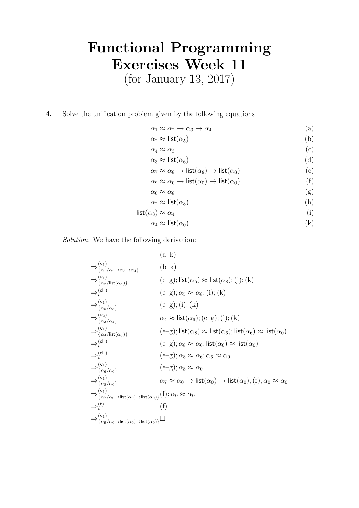## Functional Programming Exercises Week 11

(for January 13, 2017)

4. Solve the unification problem given by the following equations

 $\alpha_1 \approx \alpha_2 \to \alpha_3 \to \alpha_4$  (a)

- $\alpha_2 \approx \text{list}(\alpha_5)$  (b)
- $\alpha_4 \approx \alpha_3$  (c)
- $\alpha_3 \approx \text{list}(\alpha_6)$  (d) α<sup>7</sup> ≈ α<sup>8</sup> → list(α8) → list(α8) (e)

$$
\alpha_7 \approx \alpha_8 \to \text{list}(\alpha_8) \to \text{list}(\alpha_8) \tag{e}
$$

$$
\alpha_9 \approx \alpha_0 \to \mathsf{list}(\alpha_0) \to \mathsf{list}(\alpha_0) \tag{1}
$$

$$
\alpha_0 \approx \alpha_8 \tag{g}
$$

$$
\alpha_2 \approx \text{list}(\alpha_8) \tag{h}
$$

$$
list(\alpha_8) \approx \alpha_4 \tag{i}
$$

$$
\alpha_4 \approx \text{list}(\alpha_0) \tag{k}
$$

Solution. We have the following derivation:

$$
(a-k)
$$
\n
$$
\Rightarrow {}^{(v_1)}_{\{\alpha_1/\alpha_2 \to \alpha_3 \to \alpha_4\}} (b-k)
$$
\n
$$
\Rightarrow {}^{(v_1)}_{\{\alpha_2/\text{list}(\alpha_5)\}} (c-g); \text{list}(\alpha_5) \approx \text{list}(\alpha_8); (i); (k)
$$
\n
$$
\Rightarrow {}^{(v_1)}_{\{\alpha_5/\alpha_8\}} (c-g); (i); (k)
$$
\n
$$
\Rightarrow {}^{(v_2)}_{\{\alpha_3/\alpha_4\}} (c-g); (i); (k)
$$
\n
$$
\Rightarrow {}^{(v_2)}_{\{\alpha_3/\alpha_4\}} (c-g); (i); (k)
$$
\n
$$
\Rightarrow {}^{(v_1)}_{\{\alpha_4/\text{list}(\alpha_6)\}} (e-g); \text{list}(\alpha_6); (e-g); (i); (k)
$$
\n
$$
\Rightarrow {}^{(v_1)}_{\{\alpha_4/\text{list}(\alpha_6)\}} (e-g); \text{list}(\alpha_8) \approx \text{list}(\alpha_6); \text{list}(\alpha_6) \approx \text{list}(\alpha_0)
$$
\n
$$
\Rightarrow {}^{(v_1)}_{\{\alpha_6/\alpha_0\}} (e-g); \alpha_8 \approx \alpha_6; \alpha_6 \approx \alpha_0
$$
\n
$$
\Rightarrow {}^{(v_1)}_{\{\alpha_8/\alpha_0\}} (e-g); \alpha_8 \approx \alpha_0
$$
\n
$$
\Rightarrow {}^{(v_1)}_{\{\alpha_8/\alpha_0\}} (c-g); \alpha_8 \approx \alpha_0
$$
\n
$$
\Rightarrow {}^{(v_1)}_{\{\alpha_8/\alpha_0\}} (c-g); \alpha_8 \approx \alpha_0
$$
\n
$$
\Rightarrow {}^{(v_1)}_{\{\alpha_7/\alpha_0 \to \text{list}(\alpha_0) \to \text{list}(\alpha_0)\}} (f); \alpha_0 \approx \alpha_0
$$
\n
$$
\Rightarrow {}^{(v_1)}_{\{\alpha_9/\alpha_0 \to \text{list}(\alpha_0) \to \text{list}(\alpha_0)\}} \Box
$$